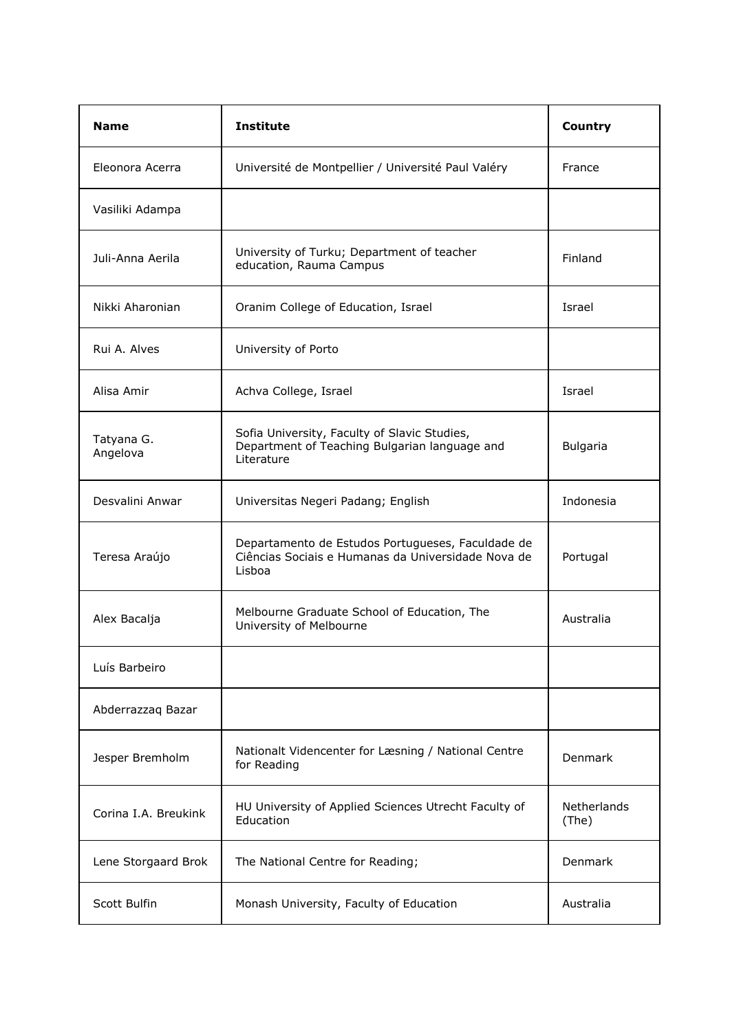| <b>Name</b>            | <b>Institute</b>                                                                                                  | Country              |
|------------------------|-------------------------------------------------------------------------------------------------------------------|----------------------|
| Eleonora Acerra        | Université de Montpellier / Université Paul Valéry                                                                | France               |
| Vasiliki Adampa        |                                                                                                                   |                      |
| Juli-Anna Aerila       | University of Turku; Department of teacher<br>education, Rauma Campus                                             | Finland              |
| Nikki Aharonian        | Oranim College of Education, Israel                                                                               | Israel               |
| Rui A. Alves           | University of Porto                                                                                               |                      |
| Alisa Amir             | Achva College, Israel                                                                                             | Israel               |
| Tatyana G.<br>Angelova | Sofia University, Faculty of Slavic Studies,<br>Department of Teaching Bulgarian language and<br>Literature       | <b>Bulgaria</b>      |
| Desvalini Anwar        | Universitas Negeri Padang; English                                                                                | Indonesia            |
| Teresa Araújo          | Departamento de Estudos Portugueses, Faculdade de<br>Ciências Sociais e Humanas da Universidade Nova de<br>Lisboa | Portugal             |
| Alex Bacalja           | Melbourne Graduate School of Education, The<br>University of Melbourne                                            | Australia            |
| Luís Barbeiro          |                                                                                                                   |                      |
| Abderrazzaq Bazar      |                                                                                                                   |                      |
| Jesper Bremholm        | Nationalt Videncenter for Læsning / National Centre<br>for Reading                                                | Denmark              |
| Corina I.A. Breukink   | HU University of Applied Sciences Utrecht Faculty of<br>Education                                                 | Netherlands<br>(The) |
| Lene Storgaard Brok    | The National Centre for Reading;                                                                                  | Denmark              |
| Scott Bulfin           | Monash University, Faculty of Education                                                                           | Australia            |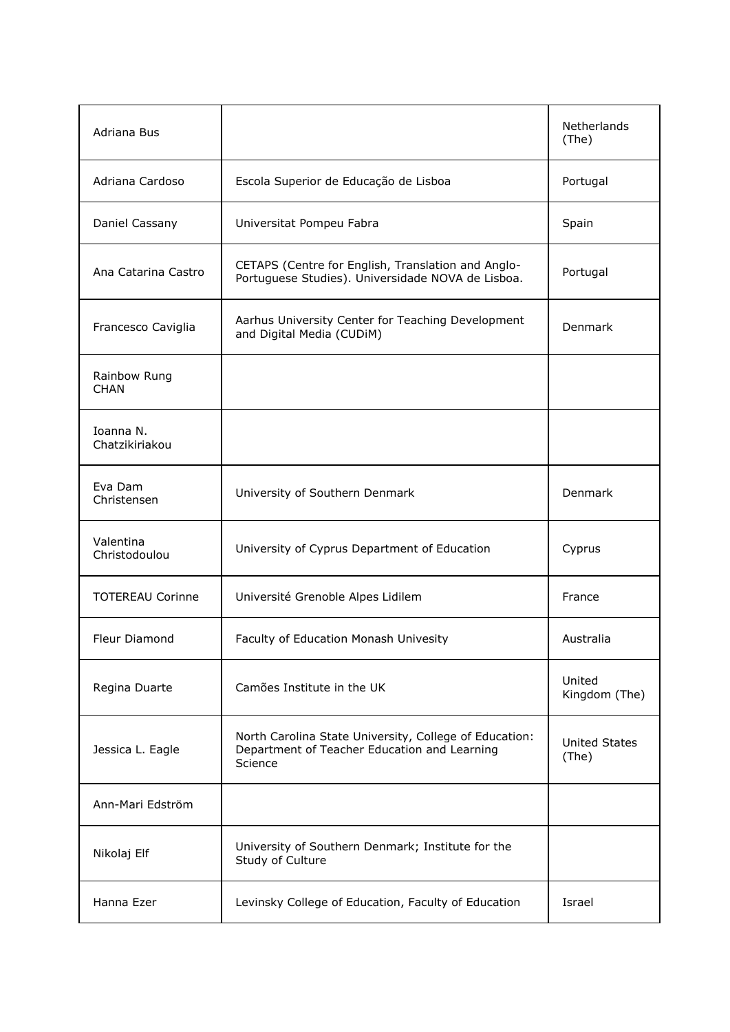| Adriana Bus                 |                                                                                                                   | Netherlands<br>(The)          |
|-----------------------------|-------------------------------------------------------------------------------------------------------------------|-------------------------------|
| Adriana Cardoso             | Escola Superior de Educação de Lisboa                                                                             | Portugal                      |
| Daniel Cassany              | Universitat Pompeu Fabra                                                                                          | Spain                         |
| Ana Catarina Castro         | CETAPS (Centre for English, Translation and Anglo-<br>Portuguese Studies). Universidade NOVA de Lisboa.           | Portugal                      |
| Francesco Caviglia          | Aarhus University Center for Teaching Development<br>and Digital Media (CUDiM)                                    | Denmark                       |
| Rainbow Rung<br><b>CHAN</b> |                                                                                                                   |                               |
| Ioanna N.<br>Chatzikiriakou |                                                                                                                   |                               |
| Eva Dam<br>Christensen      | University of Southern Denmark                                                                                    | Denmark                       |
| Valentina<br>Christodoulou  | University of Cyprus Department of Education                                                                      | Cyprus                        |
| <b>TOTEREAU Corinne</b>     | Université Grenoble Alpes Lidilem                                                                                 | France                        |
| Fleur Diamond               | Faculty of Education Monash Univesity                                                                             | Australia                     |
| Regina Duarte               | Camões Institute in the UK                                                                                        | United<br>Kingdom (The)       |
| Jessica L. Eagle            | North Carolina State University, College of Education:<br>Department of Teacher Education and Learning<br>Science | <b>United States</b><br>(The) |
| Ann-Mari Edström            |                                                                                                                   |                               |
| Nikolaj Elf                 | University of Southern Denmark; Institute for the<br>Study of Culture                                             |                               |
| Hanna Ezer                  | Levinsky College of Education, Faculty of Education                                                               | Israel                        |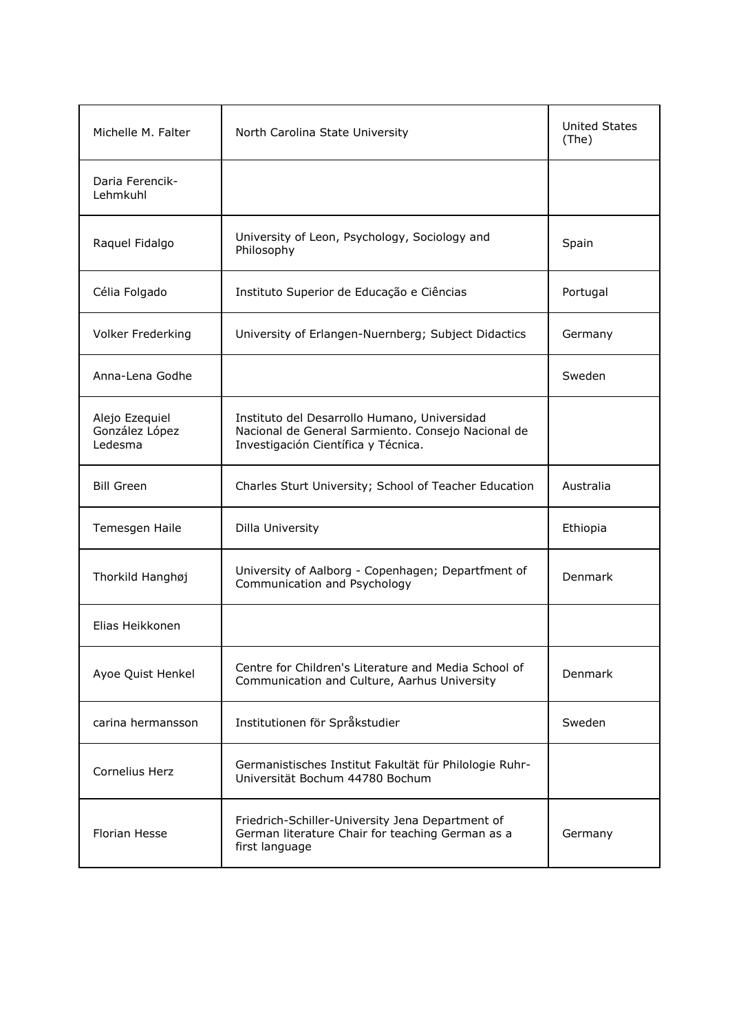| Michelle M. Falter                          | North Carolina State University                                                                                                           | <b>United States</b><br>(The) |
|---------------------------------------------|-------------------------------------------------------------------------------------------------------------------------------------------|-------------------------------|
| Daria Ferencik-<br>Lehmkuhl                 |                                                                                                                                           |                               |
| Raquel Fidalgo                              | University of Leon, Psychology, Sociology and<br>Philosophy                                                                               | Spain                         |
| Célia Folgado                               | Instituto Superior de Educação e Ciências                                                                                                 | Portugal                      |
| Volker Frederking                           | University of Erlangen-Nuernberg; Subject Didactics                                                                                       | Germany                       |
| Anna-Lena Godhe                             |                                                                                                                                           | Sweden                        |
| Alejo Ezequiel<br>González López<br>Ledesma | Instituto del Desarrollo Humano, Universidad<br>Nacional de General Sarmiento. Consejo Nacional de<br>Investigación Científica y Técnica. |                               |
| <b>Bill Green</b>                           | Charles Sturt University; School of Teacher Education                                                                                     | Australia                     |
| Temesgen Haile                              | Dilla University                                                                                                                          | Ethiopia                      |
| Thorkild Hanghøj                            | University of Aalborg - Copenhagen; Departfment of<br>Communication and Psychology                                                        | Denmark                       |
| Flias Heikkonen                             |                                                                                                                                           |                               |
| Ayoe Quist Henkel                           | Centre for Children's Literature and Media School of<br>Communication and Culture, Aarhus University                                      | Denmark                       |
| carina hermansson                           | Institutionen för Språkstudier                                                                                                            | Sweden                        |
| Cornelius Herz                              | Germanistisches Institut Fakultät für Philologie Ruhr-<br>Universität Bochum 44780 Bochum                                                 |                               |
| Florian Hesse                               | Friedrich-Schiller-University Jena Department of<br>German literature Chair for teaching German as a<br>first language                    | Germany                       |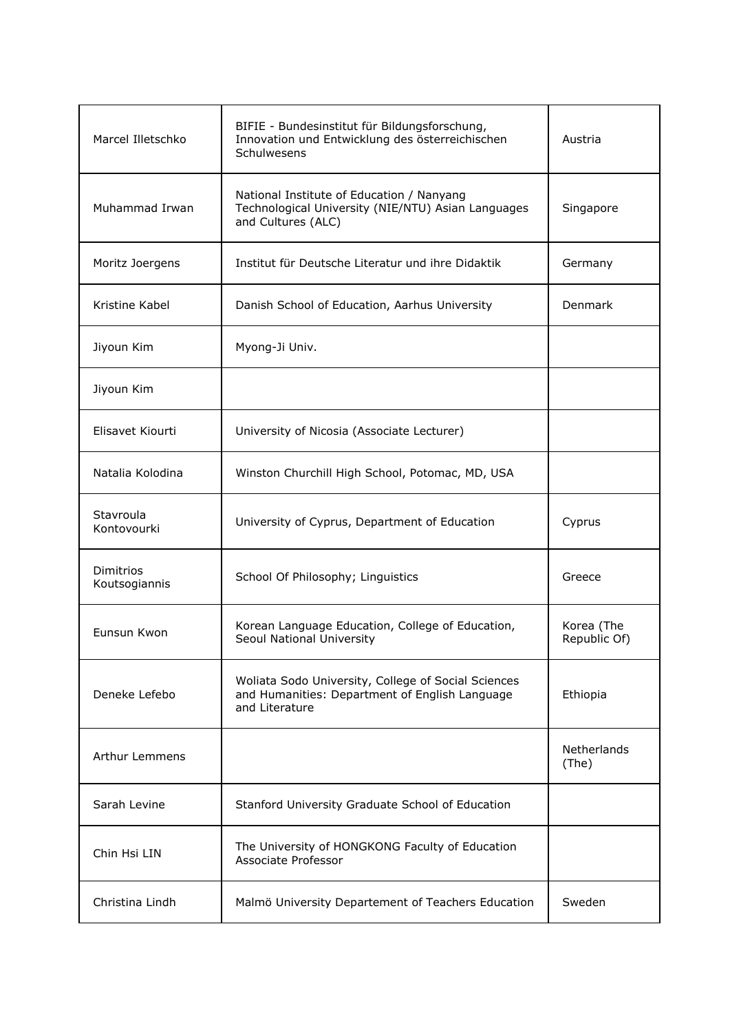| Marcel Illetschko          | BIFIE - Bundesinstitut für Bildungsforschung,<br>Innovation und Entwicklung des österreichischen<br>Schulwesens         | Austria                    |
|----------------------------|-------------------------------------------------------------------------------------------------------------------------|----------------------------|
| Muhammad Irwan             | National Institute of Education / Nanyang<br>Technological University (NIE/NTU) Asian Languages<br>and Cultures (ALC)   | Singapore                  |
| Moritz Joergens            | Institut für Deutsche Literatur und ihre Didaktik                                                                       | Germany                    |
| Kristine Kabel             | Danish School of Education, Aarhus University                                                                           | <b>Denmark</b>             |
| Jiyoun Kim                 | Myong-Ji Univ.                                                                                                          |                            |
| Jiyoun Kim                 |                                                                                                                         |                            |
| Elisavet Kiourti           | University of Nicosia (Associate Lecturer)                                                                              |                            |
| Natalia Kolodina           | Winston Churchill High School, Potomac, MD, USA                                                                         |                            |
| Stavroula<br>Kontovourki   | University of Cyprus, Department of Education                                                                           | Cyprus                     |
| Dimitrios<br>Koutsogiannis | School Of Philosophy; Linguistics                                                                                       | Greece                     |
| Eunsun Kwon                | Korean Language Education, College of Education,<br>Seoul National University                                           | Korea (The<br>Republic Of) |
| Deneke Lefebo              | Woliata Sodo University, College of Social Sciences<br>and Humanities: Department of English Language<br>and Literature | Ethiopia                   |
| Arthur Lemmens             |                                                                                                                         | Netherlands<br>(The)       |
| Sarah Levine               | Stanford University Graduate School of Education                                                                        |                            |
| Chin Hsi LIN               | The University of HONGKONG Faculty of Education<br>Associate Professor                                                  |                            |
| Christina Lindh            | Malmö University Departement of Teachers Education                                                                      | Sweden                     |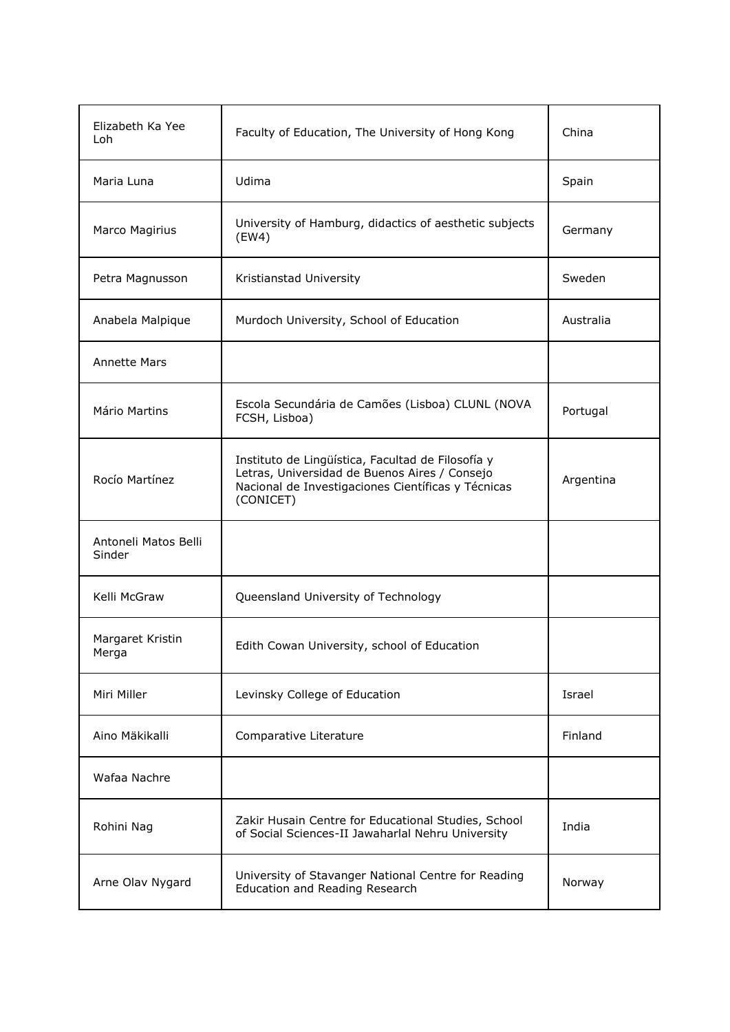| Elizabeth Ka Yee<br>Loh        | Faculty of Education, The University of Hong Kong                                                                                                                     | China     |
|--------------------------------|-----------------------------------------------------------------------------------------------------------------------------------------------------------------------|-----------|
| Maria Luna                     | Udima                                                                                                                                                                 | Spain     |
| Marco Magirius                 | University of Hamburg, didactics of aesthetic subjects<br>(EW4)                                                                                                       | Germany   |
| Petra Magnusson                | Kristianstad University                                                                                                                                               | Sweden    |
| Anabela Malpique               | Murdoch University, School of Education                                                                                                                               | Australia |
| <b>Annette Mars</b>            |                                                                                                                                                                       |           |
| Mário Martins                  | Escola Secundária de Camões (Lisboa) CLUNL (NOVA<br>FCSH, Lisboa)                                                                                                     | Portugal  |
| Rocío Martínez                 | Instituto de Lingüística, Facultad de Filosofía y<br>Letras, Universidad de Buenos Aires / Consejo<br>Nacional de Investigaciones Científicas y Técnicas<br>(CONICET) | Argentina |
| Antoneli Matos Belli<br>Sinder |                                                                                                                                                                       |           |
| Kelli McGraw                   | Queensland University of Technology                                                                                                                                   |           |
| Margaret Kristin<br>Merga      | Edith Cowan University, school of Education                                                                                                                           |           |
| Miri Miller                    | Levinsky College of Education                                                                                                                                         | Israel    |
| Aino Mäkikalli                 | Comparative Literature                                                                                                                                                | Finland   |
| Wafaa Nachre                   |                                                                                                                                                                       |           |
| Rohini Nag                     | Zakir Husain Centre for Educational Studies, School<br>of Social Sciences-II Jawaharlal Nehru University                                                              | India     |
| Arne Olav Nygard               | University of Stavanger National Centre for Reading<br>Education and Reading Research                                                                                 | Norway    |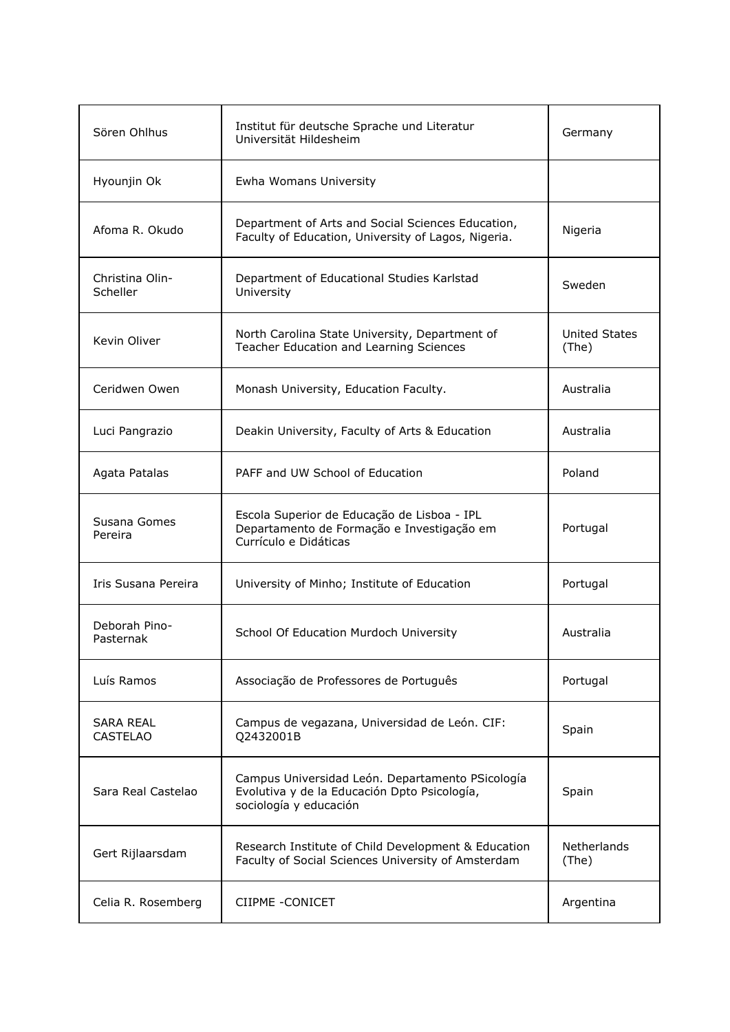| Sören Ohlhus                        | Institut für deutsche Sprache und Literatur<br>Universität Hildesheim                                                      | Germany                       |
|-------------------------------------|----------------------------------------------------------------------------------------------------------------------------|-------------------------------|
| Hyounjin Ok                         | Ewha Womans University                                                                                                     |                               |
| Afoma R. Okudo                      | Department of Arts and Social Sciences Education,<br>Faculty of Education, University of Lagos, Nigeria.                   | Nigeria                       |
| Christina Olin-<br>Scheller         | Department of Educational Studies Karlstad<br>University                                                                   | Sweden                        |
| Kevin Oliver                        | North Carolina State University, Department of<br>Teacher Education and Learning Sciences                                  | <b>United States</b><br>(The) |
| Ceridwen Owen                       | Monash University, Education Faculty.                                                                                      | Australia                     |
| Luci Pangrazio                      | Deakin University, Faculty of Arts & Education                                                                             | Australia                     |
| Agata Patalas                       | PAFF and UW School of Education                                                                                            | Poland                        |
| Susana Gomes<br>Pereira             | Escola Superior de Educação de Lisboa - IPL<br>Departamento de Formação e Investigação em<br>Currículo e Didáticas         | Portugal                      |
| Iris Susana Pereira                 | University of Minho; Institute of Education                                                                                | Portugal                      |
| Deborah Pino-<br>Pasternak          | School Of Education Murdoch University                                                                                     | Australia                     |
| Luís Ramos                          | Associação de Professores de Português                                                                                     | Portugal                      |
| <b>SARA REAL</b><br><b>CASTELAO</b> | Campus de vegazana, Universidad de León. CIF:<br>Q2432001B                                                                 | Spain                         |
| Sara Real Castelao                  | Campus Universidad León. Departamento PSicología<br>Evolutiva y de la Educación Dpto Psicología,<br>sociología y educación | Spain                         |
| Gert Rijlaarsdam                    | Research Institute of Child Development & Education<br>Faculty of Social Sciences University of Amsterdam                  | Netherlands<br>(The)          |
| Celia R. Rosemberg                  | CIIPME - CONICET                                                                                                           | Argentina                     |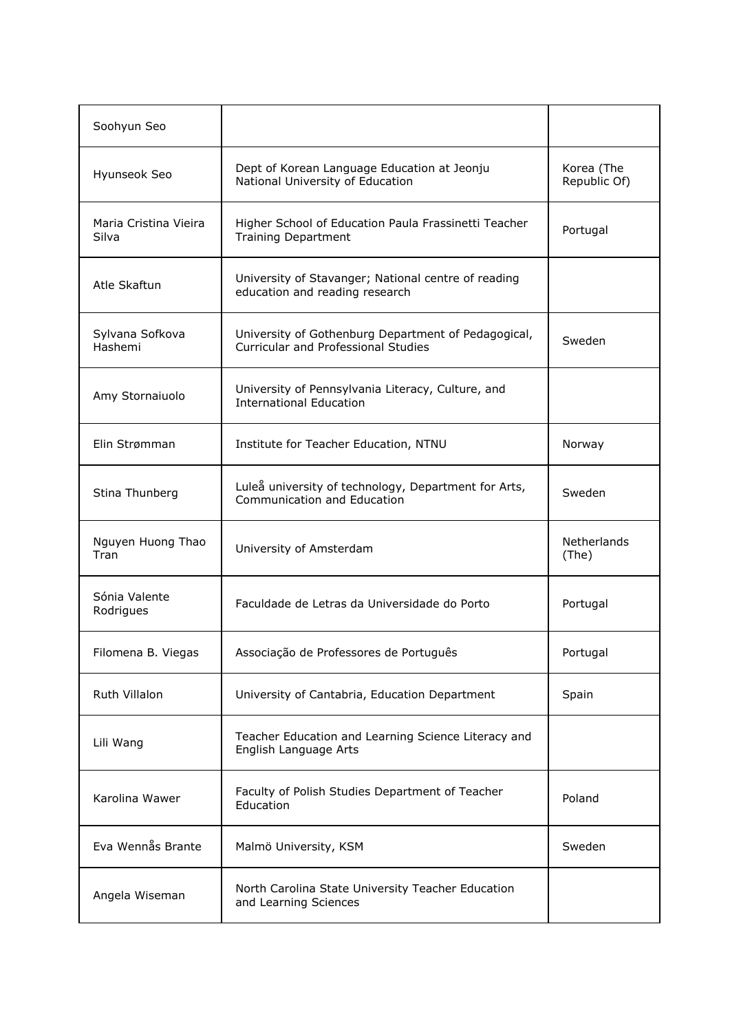| Soohyun Seo                    |                                                                                                   |                            |
|--------------------------------|---------------------------------------------------------------------------------------------------|----------------------------|
| Hyunseok Seo                   | Dept of Korean Language Education at Jeonju<br>National University of Education                   | Korea (The<br>Republic Of) |
| Maria Cristina Vieira<br>Silva | Higher School of Education Paula Frassinetti Teacher<br><b>Training Department</b>                | Portugal                   |
| Atle Skaftun                   | University of Stavanger; National centre of reading<br>education and reading research             |                            |
| Sylvana Sofkova<br>Hashemi     | University of Gothenburg Department of Pedagogical,<br><b>Curricular and Professional Studies</b> | Sweden                     |
| Amy Stornaiuolo                | University of Pennsylvania Literacy, Culture, and<br><b>International Education</b>               |                            |
| Elin Strømman                  | Institute for Teacher Education, NTNU                                                             | Norway                     |
| Stina Thunberg                 | Luleå university of technology, Department for Arts,<br>Communication and Education               | Sweden                     |
| Nguyen Huong Thao<br>Tran      | University of Amsterdam                                                                           | Netherlands<br>(The)       |
| Sónia Valente<br>Rodrigues     | Faculdade de Letras da Universidade do Porto                                                      | Portugal                   |
| Filomena B. Viegas             | Associação de Professores de Português                                                            | Portugal                   |
| Ruth Villalon                  | University of Cantabria, Education Department                                                     | Spain                      |
| Lili Wang                      | Teacher Education and Learning Science Literacy and<br>English Language Arts                      |                            |
| Karolina Wawer                 | Faculty of Polish Studies Department of Teacher<br>Education                                      | Poland                     |
| Eva Wennås Brante              | Malmö University, KSM                                                                             | Sweden                     |
| Angela Wiseman                 | North Carolina State University Teacher Education<br>and Learning Sciences                        |                            |